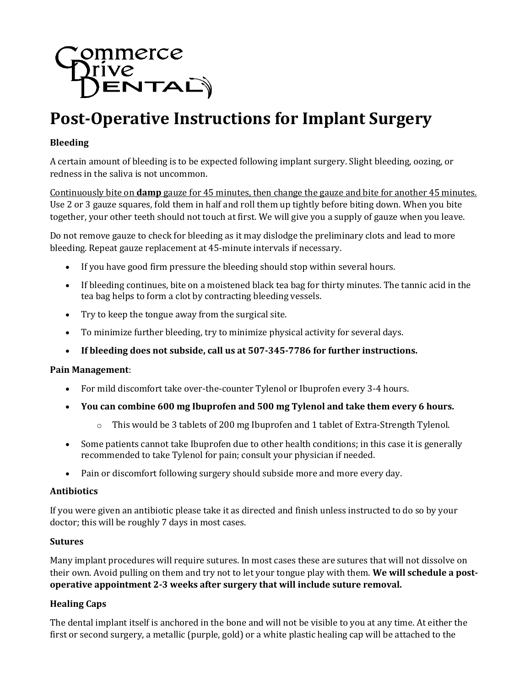# mmerce **TIME**<br>JENTAL)

# **Post-Operative Instructions for Implant Surgery**

# **Bleeding**

A certain amount of bleeding is to be expected following implant surgery. Slight bleeding, oozing, or redness in the saliva is not uncommon.

Continuously bite on **damp** gauze for 45 minutes, then change the gauze and bite for another 45 minutes. Use 2 or 3 gauze squares, fold them in half and roll them up tightly before biting down. When you bite together, your other teeth should not touch at first. We will give you a supply of gauze when you leave.

Do not remove gauze to check for bleeding as it may dislodge the preliminary clots and lead to more bleeding. Repeat gauze replacement at 45-minute intervals if necessary.

- If you have good firm pressure the bleeding should stop within several hours.
- If bleeding continues, bite on a moistened black tea bag for thirty minutes. The tannic acid in the tea bag helps to form a clot by contracting bleeding vessels.
- Try to keep the tongue away from the surgical site.
- To minimize further bleeding, try to minimize physical activity for several days.
- **If bleeding does not subside, call us at 507-345-7786 for further instructions.**

#### **Pain Management**:

- For mild discomfort take over-the-counter Tylenol or Ibuprofen every 3-4 hours.
- **You can combine 600 mg Ibuprofen and 500 mg Tylenol and take them every 6 hours.**
	- o This would be 3 tablets of 200 mg Ibuprofen and 1 tablet of Extra-Strength Tylenol.
- Some patients cannot take Ibuprofen due to other health conditions; in this case it is generally recommended to take Tylenol for pain; consult your physician if needed.
- Pain or discomfort following surgery should subside more and more every day.

#### **Antibiotics**

If you were given an antibiotic please take it as directed and finish unless instructed to do so by your doctor; this will be roughly 7 days in most cases.

#### **Sutures**

Many implant procedures will require sutures. In most cases these are sutures that will not dissolve on their own. Avoid pulling on them and try not to let your tongue play with them. **We will schedule a postoperative appointment 2-3 weeks after surgery that will include suture removal.**

#### **Healing Caps**

The dental implant itself is anchored in the bone and will not be visible to you at any time. At either the first or second surgery, a metallic (purple, gold) or a white plastic healing cap will be attached to the